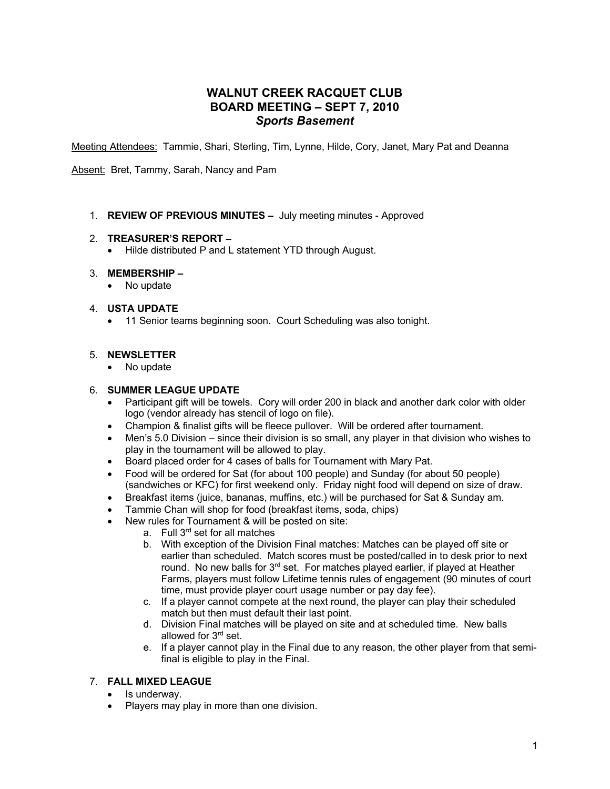# **WALNUT CREEK RACQUET CLUB BOARD MEETING – SEPT 7, 2010** *Sports Basement*

Meeting Attendees: Tammie, Shari, Sterling, Tim, Lynne, Hilde, Cory, Janet, Mary Pat and Deanna

Absent: Bret, Tammy, Sarah, Nancy and Pam

1. **REVIEW OF PREVIOUS MINUTES –** July meeting minutes - Approved

#### 2. **TREASURER'S REPORT –**

• Hilde distributed P and L statement YTD through August.

#### 3. **MEMBERSHIP –**

• No update

#### 4. **USTA UPDATE**

• 11 Senior teams beginning soon. Court Scheduling was also tonight.

#### 5. **NEWSLETTER**

• No update

#### 6. **SUMMER LEAGUE UPDATE**

- Participant gift will be towels. Cory will order 200 in black and another dark color with older logo (vendor already has stencil of logo on file).
- Champion & finalist gifts will be fleece pullover. Will be ordered after tournament.
- Men's 5.0 Division since their division is so small, any player in that division who wishes to play in the tournament will be allowed to play.
- Board placed order for 4 cases of balls for Tournament with Mary Pat.
- Food will be ordered for Sat (for about 100 people) and Sunday (for about 50 people) (sandwiches or KFC) for first weekend only. Friday night food will depend on size of draw.
- Breakfast items (juice, bananas, muffins, etc.) will be purchased for Sat & Sunday am.
- Tammie Chan will shop for food (breakfast items, soda, chips)
- New rules for Tournament & will be posted on site:
	- a. Full 3<sup>rd</sup> set for all matches
	- b. With exception of the Division Final matches: Matches can be played off site or earlier than scheduled. Match scores must be posted/called in to desk prior to next round. No new balls for  $3<sup>rd</sup>$  set. For matches played earlier, if played at Heather Farms, players must follow Lifetime tennis rules of engagement (90 minutes of court time, must provide player court usage number or pay day fee).
	- c. If a player cannot compete at the next round, the player can play their scheduled match but then must default their last point.
	- d. Division Final matches will be played on site and at scheduled time. New balls allowed for 3<sup>rd</sup> set.
	- e. If a player cannot play in the Final due to any reason, the other player from that semifinal is eligible to play in the Final.

## 7. **FALL MIXED LEAGUE**

- Is underway.
- Players may play in more than one division.